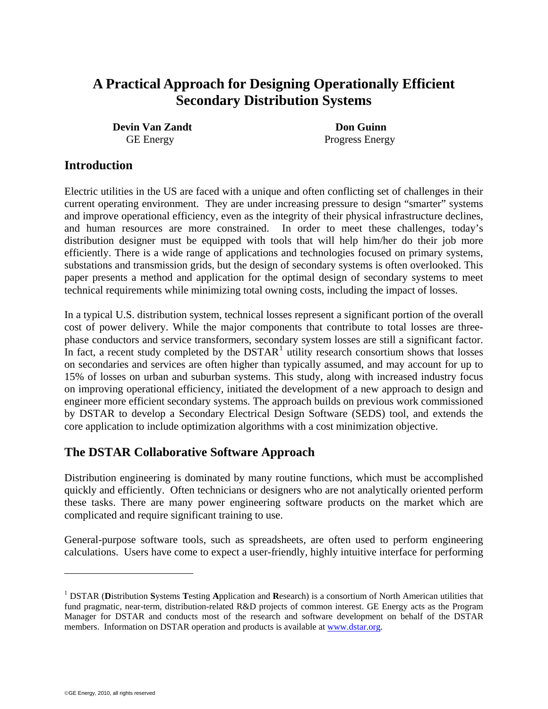# **A Practical Approach for Designing Operationally Efficient Secondary Distribution Systems**

**Devin Van Zandt Don Guinn** 

GE Energy Progress Energy

#### **Introduction**

Electric utilities in the US are faced with a unique and often conflicting set of challenges in their current operating environment. They are under increasing pressure to design "smarter" systems and improve operational efficiency, even as the integrity of their physical infrastructure declines, and human resources are more constrained. In order to meet these challenges, today's distribution designer must be equipped with tools that will help him/her do their job more efficiently. There is a wide range of applications and technologies focused on primary systems, substations and transmission grids, but the design of secondary systems is often overlooked. This paper presents a method and application for the optimal design of secondary systems to meet technical requirements while minimizing total owning costs, including the impact of losses.

In a typical U.S. distribution system, technical losses represent a significant portion of the overall cost of power delivery. While the major components that contribute to total losses are threephase conductors and service transformers, secondary system losses are still a significant factor. In fact, a recent study completed by the  $DSTAR<sup>1</sup>$  $DSTAR<sup>1</sup>$  $DSTAR<sup>1</sup>$  utility research consortium shows that losses on secondaries and services are often higher than typically assumed, and may account for up to 15% of losses on urban and suburban systems. This study, along with increased industry focus on improving operational efficiency, initiated the development of a new approach to design and engineer more efficient secondary systems. The approach builds on previous work commissioned by DSTAR to develop a Secondary Electrical Design Software (SEDS) tool, and extends the core application to include optimization algorithms with a cost minimization objective.

#### **The DSTAR Collaborative Software Approach**

Distribution engineering is dominated by many routine functions, which must be accomplished quickly and efficiently. Often technicians or designers who are not analytically oriented perform these tasks. There are many power engineering software products on the market which are complicated and require significant training to use.

General-purpose software tools, such as spreadsheets, are often used to perform engineering calculations. Users have come to expect a user-friendly, highly intuitive interface for performing

 $\overline{a}$ 

<span id="page-0-0"></span><sup>1</sup> DSTAR (**D**istribution **S**ystems **T**esting **A**pplication and **R**esearch) is a consortium of North American utilities that fund pragmatic, near-term, distribution-related R&D projects of common interest. GE Energy acts as the Program Manager for DSTAR and conducts most of the research and software development on behalf of the DSTAR members. Information on DSTAR operation and products is available at [www.dstar.org](http://www.dstar.org/).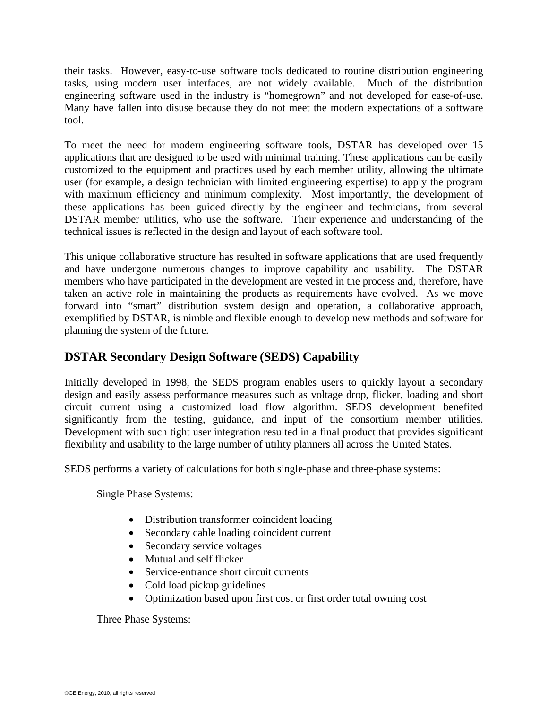their tasks. However, easy-to-use software tools dedicated to routine distribution engineering tasks, using modern user interfaces, are not widely available. Much of the distribution engineering software used in the industry is "homegrown" and not developed for ease-of-use. Many have fallen into disuse because they do not meet the modern expectations of a software tool.

To meet the need for modern engineering software tools, DSTAR has developed over 15 applications that are designed to be used with minimal training. These applications can be easily customized to the equipment and practices used by each member utility, allowing the ultimate user (for example, a design technician with limited engineering expertise) to apply the program with maximum efficiency and minimum complexity. Most importantly, the development of these applications has been guided directly by the engineer and technicians, from several DSTAR member utilities, who use the software. Their experience and understanding of the technical issues is reflected in the design and layout of each software tool.

This unique collaborative structure has resulted in software applications that are used frequently and have undergone numerous changes to improve capability and usability. The DSTAR members who have participated in the development are vested in the process and, therefore, have taken an active role in maintaining the products as requirements have evolved. As we move forward into "smart" distribution system design and operation, a collaborative approach, exemplified by DSTAR, is nimble and flexible enough to develop new methods and software for planning the system of the future.

#### **DSTAR Secondary Design Software (SEDS) Capability**

Initially developed in 1998, the SEDS program enables users to quickly layout a secondary design and easily assess performance measures such as voltage drop, flicker, loading and short circuit current using a customized load flow algorithm. SEDS development benefited significantly from the testing, guidance, and input of the consortium member utilities. Development with such tight user integration resulted in a final product that provides significant flexibility and usability to the large number of utility planners all across the United States.

SEDS performs a variety of calculations for both single-phase and three-phase systems:

Single Phase Systems:

- Distribution transformer coincident loading
- Secondary cable loading coincident current
- Secondary service voltages
- Mutual and self flicker
- Service-entrance short circuit currents
- Cold load pickup guidelines
- Optimization based upon first cost or first order total owning cost

Three Phase Systems: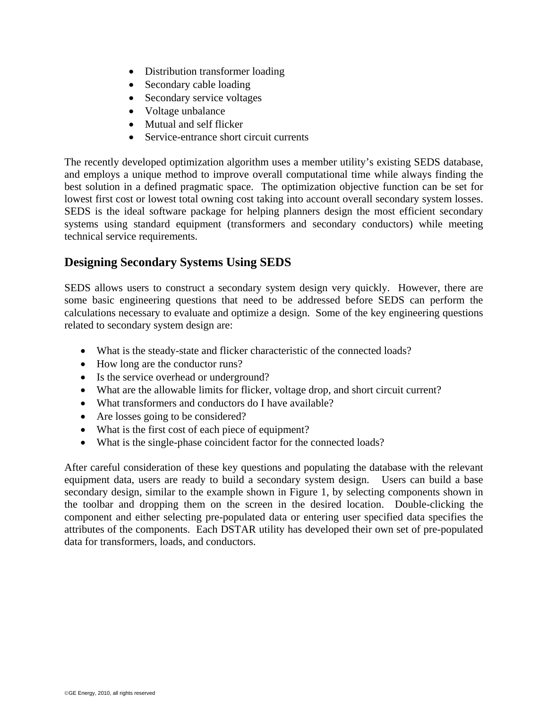- Distribution transformer loading
- Secondary cable loading
- Secondary service voltages
- Voltage unbalance
- Mutual and self flicker
- Service-entrance short circuit currents

The recently developed optimization algorithm uses a member utility's existing SEDS database, and employs a unique method to improve overall computational time while always finding the best solution in a defined pragmatic space. The optimization objective function can be set for lowest first cost or lowest total owning cost taking into account overall secondary system losses. SEDS is the ideal software package for helping planners design the most efficient secondary systems using standard equipment (transformers and secondary conductors) while meeting technical service requirements.

### **Designing Secondary Systems Using SEDS**

SEDS allows users to construct a secondary system design very quickly. However, there are some basic engineering questions that need to be addressed before SEDS can perform the calculations necessary to evaluate and optimize a design. Some of the key engineering questions related to secondary system design are:

- What is the steady-state and flicker characteristic of the connected loads?
- How long are the conductor runs?
- Is the service overhead or underground?
- What are the allowable limits for flicker, voltage drop, and short circuit current?
- What transformers and conductors do I have available?
- Are losses going to be considered?
- What is the first cost of each piece of equipment?
- What is the single-phase coincident factor for the connected loads?

After careful consideration of these key questions and populating the database with the relevant equipment data, users are ready to build a secondary system design. Users can build a base secondary design, similar to the example shown in Figure 1, by selecting components shown in the toolbar and dropping them on the screen in the desired location. Double-clicking the component and either selecting pre-populated data or entering user specified data specifies the attributes of the components. Each DSTAR utility has developed their own set of pre-populated data for transformers, loads, and conductors.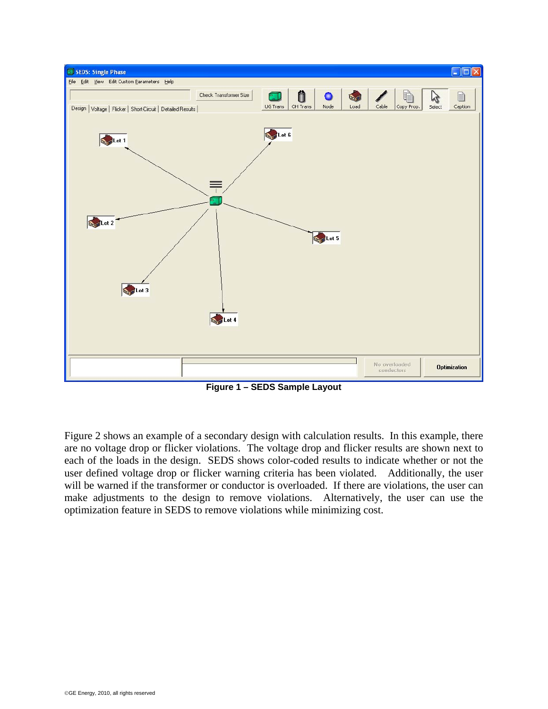

**Figure 1 – SEDS Sample Layout**

Figure 2 shows an example of a secondary design with calculation results. In this example, there are no voltage drop or flicker violations. The voltage drop and flicker results are shown next to each of the loads in the design. SEDS shows color-coded results to indicate whether or not the user defined voltage drop or flicker warning criteria has been violated. Additionally, the user will be warned if the transformer or conductor is overloaded. If there are violations, the user can make adjustments to the design to remove violations. Alternatively, the user can use the optimization feature in SEDS to remove violations while minimizing cost.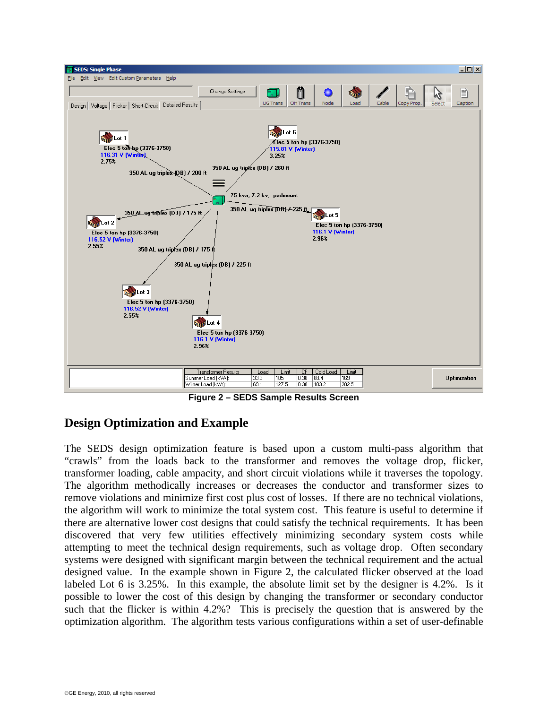

**Figure 2 – SEDS Sample Results Screen** 

## **Design Optimization and Example**

The SEDS design optimization feature is based upon a custom multi-pass algorithm that "crawls" from the loads back to the transformer and removes the voltage drop, flicker, transformer loading, cable ampacity, and short circuit violations while it traverses the topology. The algorithm methodically increases or decreases the conductor and transformer sizes to remove violations and minimize first cost plus cost of losses. If there are no technical violations, the algorithm will work to minimize the total system cost. This feature is useful to determine if there are alternative lower cost designs that could satisfy the technical requirements. It has been discovered that very few utilities effectively minimizing secondary system costs while attempting to meet the technical design requirements, such as voltage drop. Often secondary systems were designed with significant margin between the technical requirement and the actual designed value. In the example shown in Figure 2, the calculated flicker observed at the load labeled Lot 6 is 3.25%. In this example, the absolute limit set by the designer is 4.2%. Is it possible to lower the cost of this design by changing the transformer or secondary conductor such that the flicker is within 4.2%? This is precisely the question that is answered by the optimization algorithm. The algorithm tests various configurations within a set of user-definable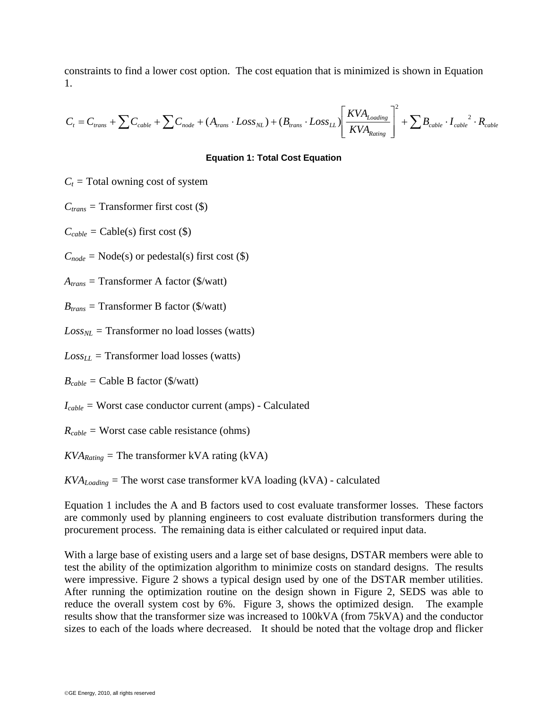constraints to find a lower cost option. The cost equation that is minimized is shown in Equation 1.

$$
C_{t} = C_{trans} + \sum C_{cable} + \sum C_{node} + (A_{trans} \cdot Loss_{NL}) + (B_{trans} \cdot Loss_{LL}) \left[ \frac{KVA_{Loading}}{KVA_{Rating}} \right]^{2} + \sum B_{cable} \cdot I_{cable}^{2} \cdot R_{cable}
$$

#### **Equation 1: Total Cost Equation**

 $C_t$  = Total owning cost of system

 $C_{trans}$  = Transformer first cost (\$)

 $C_{cable} = \text{Cable}(s)$  first cost  $(\$)$ 

 $C_{node}$  = Node(s) or pedestal(s) first cost (\$)

*Atrans =* Transformer A factor (\$/watt)

*Btrans =* Transformer B factor (\$/watt)

 $Loss_{NL}$  = Transformer no load losses (watts)

 $Loss_{LL}$  = Transformer load losses (watts)

 $B_{cable} =$  Cable B factor (\$/watt)

*Icable =* Worst case conductor current (amps) - Calculated

*Rcable =* Worst case cable resistance (ohms)

 $KVA_{Rating}$  = The transformer kVA rating (kVA)

 $KVA_{Loading}$  = The worst case transformer kVA loading (kVA) - calculated

Equation 1 includes the A and B factors used to cost evaluate transformer losses. These factors are commonly used by planning engineers to cost evaluate distribution transformers during the procurement process. The remaining data is either calculated or required input data.

With a large base of existing users and a large set of base designs, DSTAR members were able to test the ability of the optimization algorithm to minimize costs on standard designs. The results were impressive. Figure 2 shows a typical design used by one of the DSTAR member utilities. After running the optimization routine on the design shown in Figure 2, SEDS was able to reduce the overall system cost by 6%. Figure 3, shows the optimized design. The example results show that the transformer size was increased to 100kVA (from 75kVA) and the conductor sizes to each of the loads where decreased. It should be noted that the voltage drop and flicker